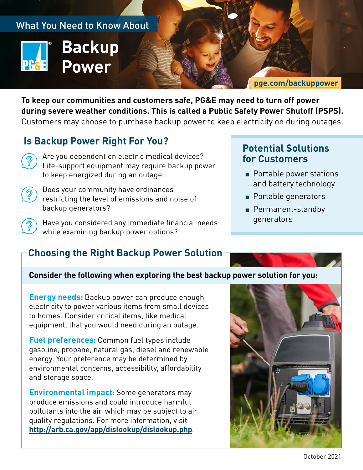

**To keep our communities and customers safe, PG&E may need to turn off power during severe weather conditions. This is called a Public Safety Power Shutoff (PSPS).**  Customers may choose to purchase backup power to keep electricity on during outages.

## **Is Backup Power Right For You?**

- Are you dependent on electric medical devices? Life-support equipment may require backup power to keep energized during an outage.
- Does your community have ordinances restricting the level of emissions and noise of backup generators?
	- Have you considered any immediate financial needs while examining backup power options?

# **Choosing the Right Backup Power Solution**

## **Potential Solutions for Customers**

- Portable power stations and battery technology
- Portable generators
- Permanent-standby generators

#### **Consider the following when exploring the best backup power solution for you:**

**Energy needs:** Backup power can produce enough electricity to power various items from small devices to homes. Consider critical items, like medical equipment, that you would need during an outage.

**Fuel preferences:** Common fuel types include gasoline, propane, natural gas, diesel and renewable energy. Your preference may be determined by environmental concerns, accessibility, affordability and storage space.

**Environmental impact:** Some generators may produce emissions and could introduce harmful pollutants into the air, which may be subject to air quality regulations. For more information, visit **<http://arb.ca.gov/app/dislookup/dislookup.php>**.